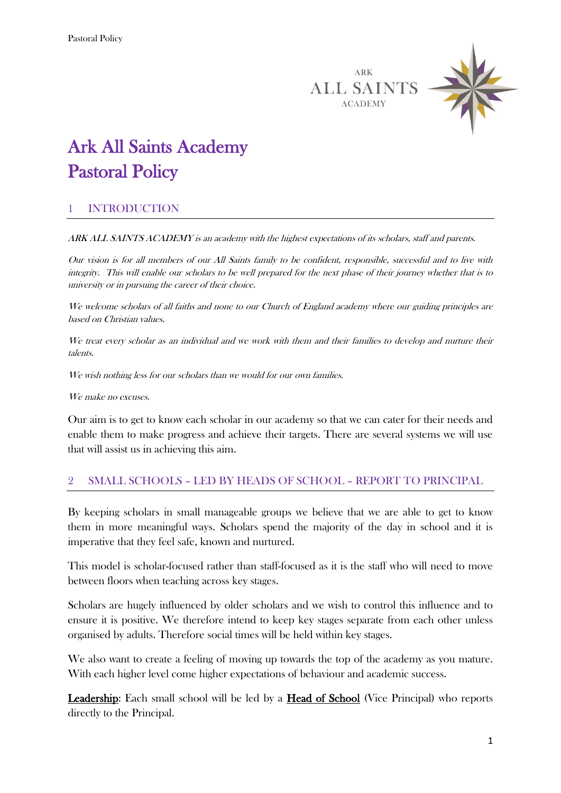



# Ark All Saints Academy Pastoral Policy

## 1 INTRODUCTION

ARK ALL SAINTS ACADEMY is an academy with the highest expectations of its scholars, staff and parents.

Our vision is for all members of our All Saints family to be confident, responsible, successful and to live with integrity. This will enable our scholars to be well prepared for the next phase of their journey whether that is to university or in pursuing the career of their choice.

We welcome scholars of all faiths and none to our Church of England academy where our guiding principles are based on Christian values.

We treat every scholar as an individual and we work with them and their families to develop and nurture their talents.

We wish nothing less for our scholars than we would for our own families.

We make no excuses.

Our aim is to get to know each scholar in our academy so that we can cater for their needs and enable them to make progress and achieve their targets. There are several systems we will use that will assist us in achieving this aim.

#### 2 SMALL SCHOOLS – LED BY HEADS OF SCHOOL – REPORT TO PRINCIPAL

By keeping scholars in small manageable groups we believe that we are able to get to know them in more meaningful ways. Scholars spend the majority of the day in school and it is imperative that they feel safe, known and nurtured.

This model is scholar-focused rather than staff-focused as it is the staff who will need to move between floors when teaching across key stages.

Scholars are hugely influenced by older scholars and we wish to control this influence and to ensure it is positive. We therefore intend to keep key stages separate from each other unless organised by adults. Therefore social times will be held within key stages.

We also want to create a feeling of moving up towards the top of the academy as you mature. With each higher level come higher expectations of behaviour and academic success.

Leadership: Each small school will be led by a Head of School (Vice Principal) who reports directly to the Principal.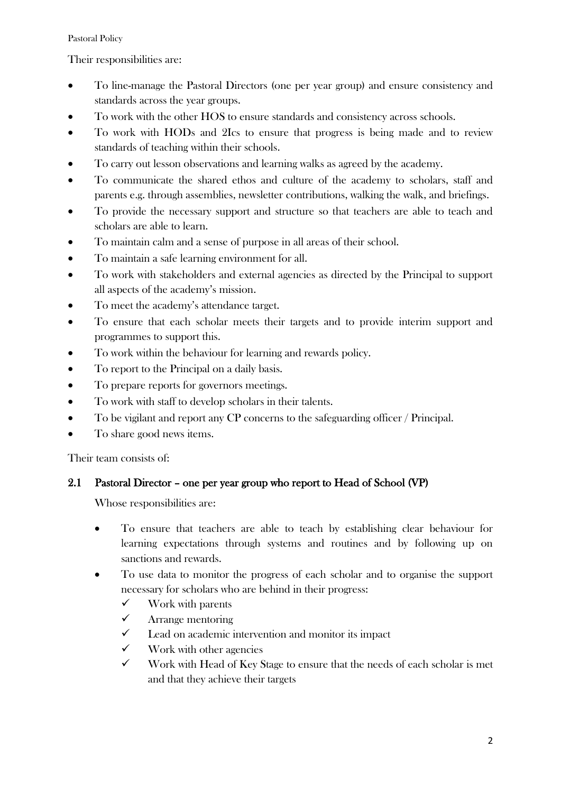#### Pastoral Policy

### Their responsibilities are:

- To line-manage the Pastoral Directors (one per year group) and ensure consistency and standards across the year groups.
- To work with the other HOS to ensure standards and consistency across schools.
- To work with HODs and 2Ics to ensure that progress is being made and to review standards of teaching within their schools.
- To carry out lesson observations and learning walks as agreed by the academy.
- To communicate the shared ethos and culture of the academy to scholars, staff and parents e.g. through assemblies, newsletter contributions, walking the walk, and briefings.
- To provide the necessary support and structure so that teachers are able to teach and scholars are able to learn.
- To maintain calm and a sense of purpose in all areas of their school.
- To maintain a safe learning environment for all.
- To work with stakeholders and external agencies as directed by the Principal to support all aspects of the academy's mission.
- To meet the academy's attendance target.
- To ensure that each scholar meets their targets and to provide interim support and programmes to support this.
- To work within the behaviour for learning and rewards policy.
- To report to the Principal on a daily basis.
- To prepare reports for governors meetings.
- To work with staff to develop scholars in their talents.
- To be vigilant and report any CP concerns to the safeguarding officer / Principal.
- To share good news items.

Their team consists of:

## 2.1 Pastoral Director – one per year group who report to Head of School (VP)

Whose responsibilities are:

- To ensure that teachers are able to teach by establishing clear behaviour for learning expectations through systems and routines and by following up on sanctions and rewards.
- To use data to monitor the progress of each scholar and to organise the support necessary for scholars who are behind in their progress:
	- $\checkmark$  Work with parents
	- $\checkmark$  Arrange mentoring
	- $\checkmark$  Lead on academic intervention and monitor its impact
	- $\checkmark$  Work with other agencies
	- $\checkmark$  Work with Head of Key Stage to ensure that the needs of each scholar is met and that they achieve their targets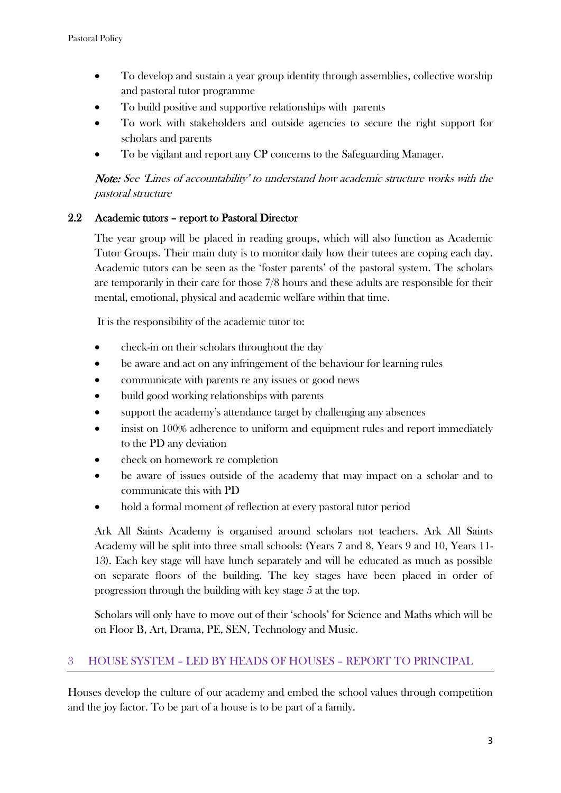- To develop and sustain a year group identity through assemblies, collective worship and pastoral tutor programme
- To build positive and supportive relationships with parents
- To work with stakeholders and outside agencies to secure the right support for scholars and parents
- To be vigilant and report any CP concerns to the Safeguarding Manager.

Note: See 'Lines of accountability' to understand how academic structure works with the pastoral structure

### 2.2 Academic tutors – report to Pastoral Director

The year group will be placed in reading groups, which will also function as Academic Tutor Groups. Their main duty is to monitor daily how their tutees are coping each day. Academic tutors can be seen as the 'foster parents' of the pastoral system. The scholars are temporarily in their care for those 7/8 hours and these adults are responsible for their mental, emotional, physical and academic welfare within that time.

It is the responsibility of the academic tutor to:

- check-in on their scholars throughout the day
- be aware and act on any infringement of the behaviour for learning rules
- communicate with parents re any issues or good news
- build good working relationships with parents
- support the academy's attendance target by challenging any absences
- insist on 100% adherence to uniform and equipment rules and report immediately to the PD any deviation
- check on homework re completion
- be aware of issues outside of the academy that may impact on a scholar and to communicate this with PD
- hold a formal moment of reflection at every pastoral tutor period

Ark All Saints Academy is organised around scholars not teachers. Ark All Saints Academy will be split into three small schools: (Years 7 and 8, Years 9 and 10, Years 11- 13). Each key stage will have lunch separately and will be educated as much as possible on separate floors of the building. The key stages have been placed in order of progression through the building with key stage 5 at the top.

Scholars will only have to move out of their 'schools' for Science and Maths which will be on Floor B, Art, Drama, PE, SEN, Technology and Music.

#### 3 HOUSE SYSTEM – LED BY HEADS OF HOUSES – REPORT TO PRINCIPAL

Houses develop the culture of our academy and embed the school values through competition and the joy factor. To be part of a house is to be part of a family.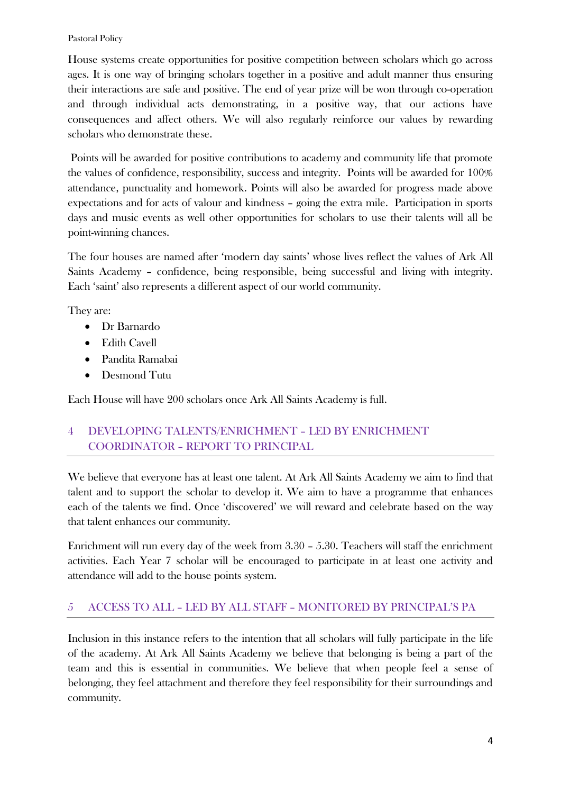#### Pastoral Policy

House systems create opportunities for positive competition between scholars which go across ages. It is one way of bringing scholars together in a positive and adult manner thus ensuring their interactions are safe and positive. The end of year prize will be won through co-operation and through individual acts demonstrating, in a positive way, that our actions have consequences and affect others. We will also regularly reinforce our values by rewarding scholars who demonstrate these.

Points will be awarded for positive contributions to academy and community life that promote the values of confidence, responsibility, success and integrity. Points will be awarded for 100% attendance, punctuality and homework. Points will also be awarded for progress made above expectations and for acts of valour and kindness – going the extra mile. Participation in sports days and music events as well other opportunities for scholars to use their talents will all be point-winning chances.

The four houses are named after 'modern day saints' whose lives reflect the values of Ark All Saints Academy – confidence, being responsible, being successful and living with integrity. Each 'saint' also represents a different aspect of our world community.

They are:

- Dr Barnardo
- Edith Cavell
- Pandita Ramabai
- Desmond Tutu

Each House will have 200 scholars once Ark All Saints Academy is full.

## 4 DEVELOPING TALENTS/ENRICHMENT – LED BY ENRICHMENT COORDINATOR – REPORT TO PRINCIPAL

We believe that everyone has at least one talent. At Ark All Saints Academy we aim to find that talent and to support the scholar to develop it. We aim to have a programme that enhances each of the talents we find. Once 'discovered' we will reward and celebrate based on the way that talent enhances our community.

Enrichment will run every day of the week from 3.30 – 5.30. Teachers will staff the enrichment activities. Each Year 7 scholar will be encouraged to participate in at least one activity and attendance will add to the house points system.

## 5 ACCESS TO ALL – LED BY ALL STAFF – MONITORED BY PRINCIPAL'S PA

Inclusion in this instance refers to the intention that all scholars will fully participate in the life of the academy. At Ark All Saints Academy we believe that belonging is being a part of the team and this is essential in communities. We believe that when people feel a sense of belonging, they feel attachment and therefore they feel responsibility for their surroundings and community.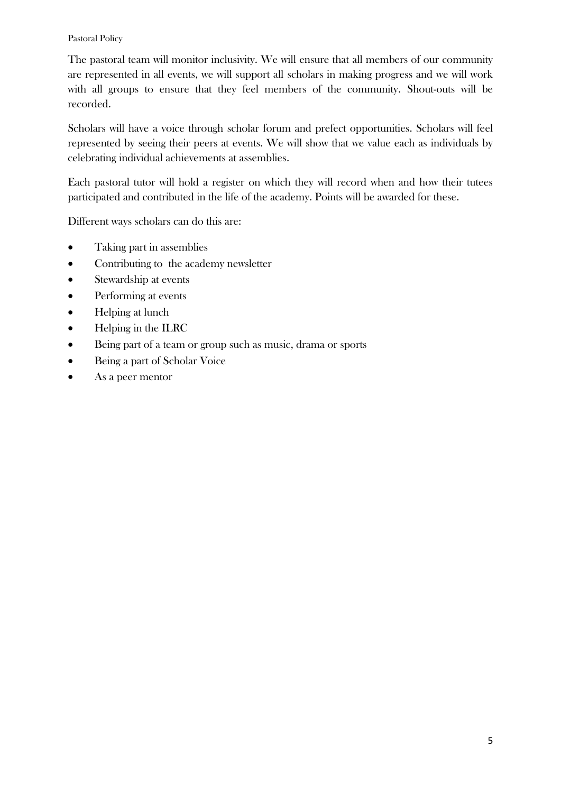#### Pastoral Policy

The pastoral team will monitor inclusivity. We will ensure that all members of our community are represented in all events, we will support all scholars in making progress and we will work with all groups to ensure that they feel members of the community. Shout-outs will be recorded.

Scholars will have a voice through scholar forum and prefect opportunities. Scholars will feel represented by seeing their peers at events. We will show that we value each as individuals by celebrating individual achievements at assemblies.

Each pastoral tutor will hold a register on which they will record when and how their tutees participated and contributed in the life of the academy. Points will be awarded for these.

Different ways scholars can do this are:

- Taking part in assemblies
- Contributing to the academy newsletter
- Stewardship at events
- Performing at events
- Helping at lunch
- Helping in the ILRC
- Being part of a team or group such as music, drama or sports
- Being a part of Scholar Voice
- As a peer mentor